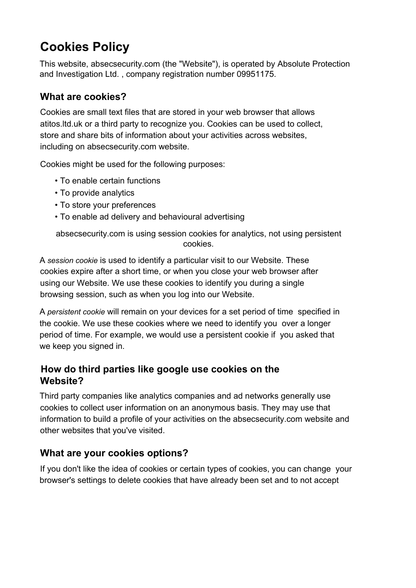# **Cookies Policy**

This website, absecsecurity.com (the "Website"), is operated by Absolute Protection and Investigation Ltd. , company registration number 09951175.

#### **What are cookies?**

Cookies are small text files that are stored in your web browser that allows atitos.ltd.uk or a third party to recognize you. Cookies can be used to collect, store and share bits of information about your activities across websites, including on absecsecurity.com website.

Cookies might be used for the following purposes:

- To enable certain functions
- To provide analytics
- To store your preferences
- To enable ad delivery and behavioural advertising

absecsecurity.com is using session cookies for analytics, not using persistent cookies.

A *session cookie* is used to identify a particular visit to our Website. These cookies expire after a short time, or when you close your web browser after using our Website. We use these cookies to identify you during a single browsing session, such as when you log into our Website.

A *persistent cookie* will remain on your devices for a set period of time specified in the cookie. We use these cookies where we need to identify you over a longer period of time. For example, we would use a persistent cookie if you asked that we keep you signed in.

#### **How do third parties like google use cookies on the Website?**

Third party companies like analytics companies and ad networks generally use cookies to collect user information on an anonymous basis. They may use that information to build a profile of your activities on the absecsecurity.com website and other websites that you've visited.

## **What are your cookies options?**

If you don't like the idea of cookies or certain types of cookies, you can change your browser's settings to delete cookies that have already been set and to not accept